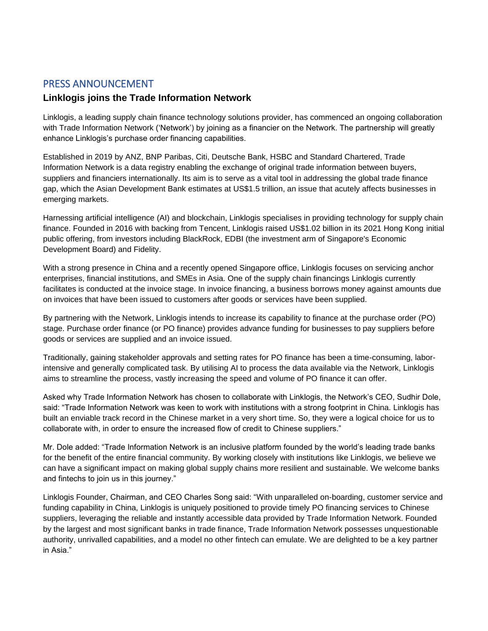## PRESS ANNOUNCEMENT

## **Linklogis joins the Trade Information Network**

Linklogis, a leading supply chain finance technology solutions provider, has commenced an ongoing collaboration with Trade Information Network ('Network') by joining as a financier on the Network. The partnership will greatly enhance Linklogis's purchase order financing capabilities.

Established in 2019 by ANZ, BNP Paribas, Citi, Deutsche Bank, HSBC and Standard Chartered, Trade Information Network is a data registry enabling the exchange of original trade information between buyers, suppliers and financiers internationally. Its aim is to serve as a vital tool in addressing the global trade finance gap, which the Asian Development Bank estimates at US\$1.5 trillion, an issue that acutely affects businesses in emerging markets.

Harnessing artificial intelligence (AI) and blockchain, Linklogis specialises in providing technology for supply chain finance. Founded in 2016 with backing from Tencent, Linklogis raised US\$1.02 billion in its 2021 Hong Kong initial public offering, from investors including BlackRock, EDBI (the investment arm of Singapore's Economic Development Board) and Fidelity.

With a strong presence in China and a recently opened Singapore office, Linklogis focuses on servicing anchor enterprises, financial institutions, and SMEs in Asia. One of the supply chain financings Linklogis currently facilitates is conducted at the invoice stage. In invoice financing, a business borrows money against amounts due on invoices that have been issued to customers after goods or services have been supplied.

By partnering with the Network, Linklogis intends to increase its capability to finance at the purchase order (PO) stage. Purchase order finance (or PO finance) provides advance funding for businesses to pay suppliers before goods or services are supplied and an invoice issued.

Traditionally, gaining stakeholder approvals and setting rates for PO finance has been a time-consuming, laborintensive and generally complicated task. By utilising AI to process the data available via the Network, Linklogis aims to streamline the process, vastly increasing the speed and volume of PO finance it can offer.

Asked why Trade Information Network has chosen to collaborate with Linklogis, the Network's CEO, Sudhir Dole, said: "Trade Information Network was keen to work with institutions with a strong footprint in China. Linklogis has built an enviable track record in the Chinese market in a very short time. So, they were a logical choice for us to collaborate with, in order to ensure the increased flow of credit to Chinese suppliers."

Mr. Dole added: "Trade Information Network is an inclusive platform founded by the world's leading trade banks for the benefit of the entire financial community. By working closely with institutions like Linklogis, we believe we can have a significant impact on making global supply chains more resilient and sustainable. We welcome banks and fintechs to join us in this journey."

Linklogis Founder, Chairman, and CEO Charles Song said: "With unparalleled on-boarding, customer service and funding capability in China, Linklogis is uniquely positioned to provide timely PO financing services to Chinese suppliers, leveraging the reliable and instantly accessible data provided by Trade Information Network. Founded by the largest and most significant banks in trade finance, Trade Information Network possesses unquestionable authority, unrivalled capabilities, and a model no other fintech can emulate. We are delighted to be a key partner in Asia."